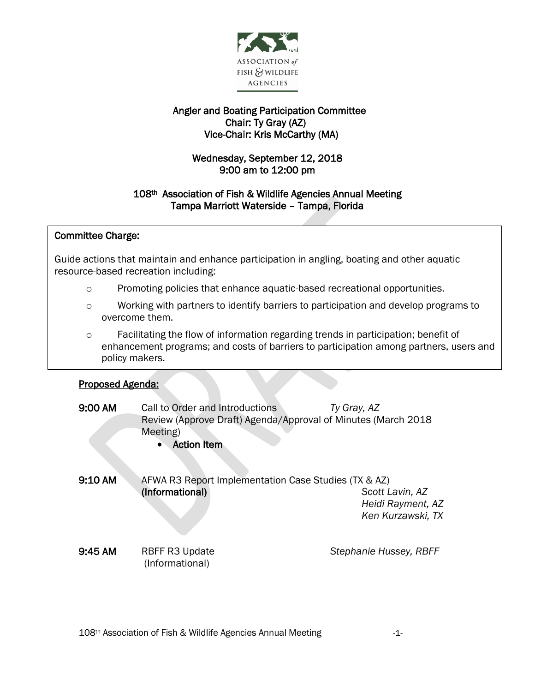

# Angler and Boating Participation Committee Chair: Ty Gray (AZ) Vice-Chair: Kris McCarthy (MA)

# Wednesday, September 12, 2018 9:00 am to 12:00 pm

## 108th Association of Fish & Wildlife Agencies Annual Meeting Tampa Marriott Waterside – Tampa, Florida

#### j Committee Charge:

 Guide actions that maintain and enhance participation in angling, boating and other aquatic .<br>. resource-based recreation including:

- o Promoting policies that enhance aquatic-based recreational opportunities.
- o Working with partners to identify barriers to participation and develop programs to overcome them.
- o Facilitating the flow of information regarding trends in participation; benefit of enhancement programs; and costs of barriers to participation among partners, users and policy makers.

#### Proposed Agenda:

I

| $9:00 \text{ AM}$ | Call to Order and Introductions<br>Review (Approve Draft) Agenda/Approval of Minutes (March 2018<br>Meeting)<br><b>Action Item</b> | Ty Gray, AZ                                               |
|-------------------|------------------------------------------------------------------------------------------------------------------------------------|-----------------------------------------------------------|
| 9:10 AM           | AFWA R3 Report Implementation Case Studies (TX & AZ)<br>(Informational)                                                            | Scott Lavin, AZ<br>Heidi Rayment, AZ<br>Ken Kurzawski, TX |
| 9:45AM            | <b>RBFF R3 Update</b><br>(Informational)                                                                                           | Stephanie Hussey, RBFF                                    |